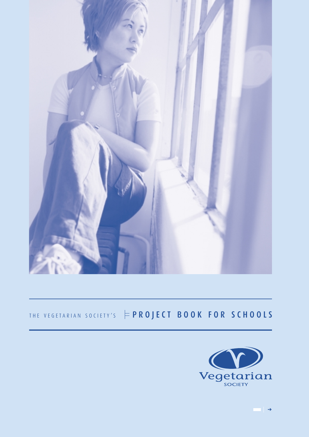

# THE VEGETARIAN SOCIETY'S  $\models PROJECT~B00K~FOR~SCHOOLS$

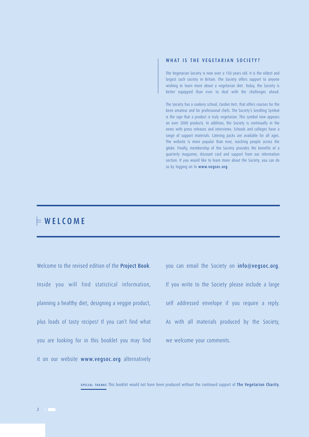# WHAT IS THE VEGETARIAN SOCIETY?

The Vegetarian Society is now over a 150 years old. It is the oldest and largest such society in Britain. The Society offers support to anyone wishing to learn more about a vegetarian diet. Today, the Society is better equipped than ever to deal with the challenges ahead.

The Society has a cookery school, Cordon Vert, that offers courses for the keen amateur and for professional chefs. The Society's Seedling Symbol is the sign that a product is truly vegetarian. This symbol now appears on over 2000 products. In addition, the Society is continually in the news with press releases and interviews. Schools and colleges have a range of support materials. Catering packs are available for all ages. The website is more popular than ever, reaching people across the globe. Finally, membership of the Society provides the benefits of a quarterly magazine, discount card and support from our information section. If you would like to learn more about the Society, you can do so by logging on to www.vegsoc.org.

# $\models$  WELCOME

Welcome to the revised edition of the **Project Book**. Inside you will find statistical information, planning a healthy diet, designing a veggie product, plus loads of tasty recipes! If you can't find what you are looking for in this booklet you may find it on our website www.vegsoc.org alternatively

you can email the Society on info@vegsoc.org. If you write to the Society please include a large self addressed envelope if you require a reply. As with all materials produced by the Society, we welcome your comments.

SPECIAL THANKS This booklet would not have been produced without the continued support of The Vegetarian Charity.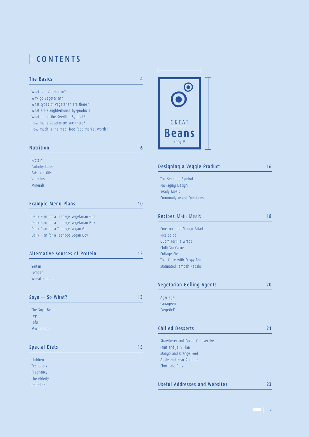# CONTENTS

The elderly Diabetics

| <b>The Basics</b>                            | 4  |
|----------------------------------------------|----|
| What is a Vegetarian?                        |    |
| Why go Vegetarian?                           |    |
| What types of Vegetarian are there?          |    |
| What are slaughterhouse by-products          |    |
| What about the Seedling Symbol?              |    |
| How many Vegetarians are there?              |    |
| How much is the meat-free food market worth? |    |
| <b>Nutrition</b>                             | 6  |
| Protein                                      |    |
| Carbohydrates                                |    |
| Fats and Oils                                |    |
| Vitamins                                     |    |
| <b>Minerals</b>                              |    |
| <b>Example Menu Plans</b>                    | 10 |
|                                              |    |
| Daily Plan for a Teenage Vegetarian Girl     |    |
| Daily Plan for a Teenage Vegetarian Boy      |    |
| Daily Plan for a Teenage Vegan Girl          |    |
| Daily Plan for a Teenage Vegan Boy           |    |
| Alternative sources of Protein               | 12 |
| Seitan                                       |    |
| Tempeh                                       |    |
| Wheat Protein                                |    |
| $Soya - So What?$                            | 13 |
| The Soya Bean                                |    |
| <b>TVP</b>                                   |    |
| Tofu                                         |    |
| Mycoprotein                                  |    |
|                                              |    |
| <b>Special Diets</b>                         | 15 |
| Children                                     |    |
| Teenagers                                    |    |
| Pregnancy                                    |    |



| Designing a Veggie Product                                                                                                                                  | 16 |
|-------------------------------------------------------------------------------------------------------------------------------------------------------------|----|
| The Seedling Symbol<br>Packaging Design<br>Ready Meals<br><b>Commonly Asked Questions</b>                                                                   |    |
| <b>Recipes</b> Main Meals                                                                                                                                   | 18 |
| Couscous and Mango Salad<br>Rice Salad<br>Quorn Tortilla Wraps<br>Chilli Sin Carne<br>Cottage Pie<br>Thai Curry with Crispy Tofu<br>Marinated Tempeh Kebabs |    |
| Vegetarian Gelling Agents                                                                                                                                   | 20 |
| Agar agar<br>Carrageen<br>'VegeGel'                                                                                                                         |    |
| <b>Chilled Desserts</b>                                                                                                                                     | 21 |
| Strawberry and Pecan Cheesecake<br>Fruit and Jelly Flan<br>Mango and Orange Fool<br>Apple and Pear Crumble<br>Chocolate Pots                                |    |

|  | Useful Addresses and Websites |  |  |  |
|--|-------------------------------|--|--|--|
|--|-------------------------------|--|--|--|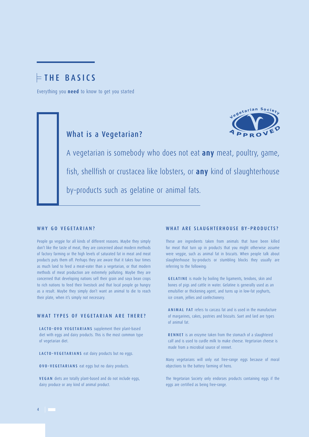# $\models$ THE BASICS

Everything you **need** to know to get you started



# What is a Vegetarian?

A vegetarian is somebody who does not eat **any** meat, poultry, game, fish, shellfish or crustacea like lobsters, or **any** kind of slaughterhouse by–products such as gelatine or animal fats.

### WHY GO VEGETARIAN?

People go veggie for all kinds of different reasons. Maybe they simply don't like the taste of meat, they are concerned about modern methods of factory farming or the high levels of saturated fat in meat and meat products puts them off. Perhaps they are aware that it takes four times as much land to feed a meat–eater than a vegetarian, or that modern methods of meat production are extremely polluting. Maybe they are concerned that developing nations sell their grain and soya bean crops to rich nations to feed their livestock and that local people go hungry as a result. Maybe they simply don't want an animal to die to reach their plate, when it's simply not necessary.

# WHAT TYPES OF VEGETARIAN ARE THERE?

LACTO–OVO VEGETARIANS supplement their plant–based diet with eggs and dairy products. This is the most common type of vegetarian diet.

LACTO–VEGETARIANS eat dairy products but no eggs.

OVO–VEGETARIANS eat eggs but no dairy products.

VEGAN diets are totally plant–based and do not include eggs, dairy produce or any kind of animal product.

## WHAT ARE SLAUGHTERHOUSE BY–PRODUCTS?

These are ingredients taken from animals that have been killed for meat that turn up in products that you might otherwise assume were veggie, such as animal fat in biscuits. When people talk about slaughterhouse by–products or stumbling blocks they usually are referring to the following:

GELATINE is made by boiling the ligaments, tendons, skin and bones of pigs and cattle in water. Gelatine is generally used as an emulsifier or thickening agent, and turns up in low–fat yoghurts, ice cream, jellies and confectionery.

ANIMAL FAT refers to carcass fat and is used in the manufacture of margarines, cakes, pastries and biscuits. Suet and lard are types of animal fat.

RENNET is an enzyme taken from the stomach of a slaughtered calf and is used to curdle milk to make cheese. Vegetarian cheese is made from a microbial source of rennet.

Many vegetarians will only eat free–range eggs because of moral objections to the battery farming of hens.

The Vegetarian Society only endorses products containing eggs if the eggs are certified as being free–range.

4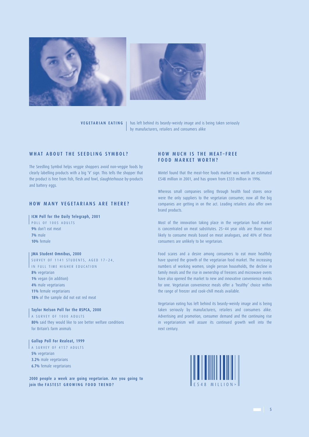



<code>VEGETARIAN EATING</code>  $\parallel$  has left behind its beardy–weirdy image and is being taken seriously by manufacturers, retailers and consumers alike

# WHAT ABOUT THE SEEDLING SYMBOL?

The Seedling Symbol helps veggie shoppers avoid non–veggie foods by clearly labelling products with a big 'V' sign. This tells the shopper that the product is free from fish, flesh and fowl, slaughterhouse by–products and battery eggs.

## HOW MANY VEGETARIANS ARE THERE?

ICM Poll for the Daily Telegraph, 2001

POLL OF 1005 ADULTS 9% don't eat meat 7% male 10% female

### JMA Student Omnibus, 2000

SURVEY OF 1141 STUDENTS, AGED 17~24, IN FULL TIME HIGHER EDUCATION

8% vegetarian

- 1% vegan (in addition)
- 4% male vegetarians
- 11% female vegetarians
- 18% of the sample did not eat red meat

Taylor Nelson Poll for the RSPCA, 2000 A SURVEY OF 1000 ADULTS 80% said they would like to see better welfare conditions for Britain's farm animals

Gallup Poll For Realeat, 1999 A SURVEY OF 4157 ADULTS 5% vegetarian 3.2% male vegetarians 6.7% female vegetarians

2000 people a week are going vegetarian. Are you going to ioin the FASTEST GROWING FOOD TREND?

# HOW MUCH IS THE MEAT–FREE FOOD MARKET WORTH?

Mintel found that the meat–free foods market was worth an estimated £548 million in 2001, and has grown from £333 million in 1996.

Whereas small companies selling through health food stores once were the only suppliers to the vegetarian consumer, now all the big companies are getting in on the act. Leading retailers also offer own brand products.

Most of the innovation taking place in the vegetarian food market is concentrated on meat substitutes. 25~44 year olds are those most likely to consume meals based on meat analogues, and 40% of these consumers are unlikely to be vegetarian.

Food scares and a desire among consumers to eat more healthily have spurred the growth of the vegetarian food market. The increasing numbers of working women, single person households, the decline in family meals and the rise in ownership of freezers and microwave ovens have also opened the market to new and innovative convenience meals for one. Vegetarian convenience meals offer a 'healthy' choice within the range of freezer and cook–chill meals available.

Vegetarian eating has left behind its beardy–weirdy image and is being taken seriously by manufacturers, retailers and consumers alike. Advertising and promotion, consumer demand and the continuing rise in vegetarianism will assure its continued growth well into the next century.

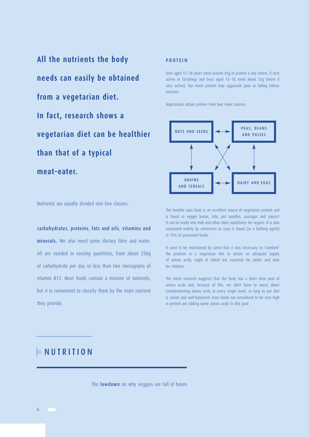**All the nutrients the body needs can easily be obtained from a vegetarian diet. In fact, research shows a vegetarian diet can be healthier than that of a typical meat–eater.**

# PROTEIN

Girls aged 15~18 years need around 45g of protein a day (more, if very active or lactating) and boys aged 15~18 need about 55g (more if very active). Too much protein may aggravate poor or failing kidney function.

Vegetarians obtain protein from four main sources:



Nutrients are usually divided into five classes:

carbohydrates, proteins, fats and oils, vitamins and minerals. We also need some dietary fibre and water. All are needed in varying quantities, from about 250g of carbohydrate per day to less than two micrograms of vitamin B12. Most foods contain a mixture of nutrients, but it is convenient to classify them by the main nutrient they provide.

The humble soya bean is an excellent source of vegetarian protein and is found in veggie bacon, tofu, pot noodles, sausages and sauces! It can be made into milk and other dairy substitutes for vegans. It is also consumed widely by omnivores as soya is found (as a bulking agent) in 70% of processed foods.

It used to be maintained by some that it was necessary to 'combine' the proteins in a vegetarian diet to obtain an adequate supply of amino acids, eight of which are essential for adults and nine for children.

The latest research suggests that the body has a short term pool of amino acids and, because of this, we don't have to worry about complementing amino acids at every single meal, as long as our diet is varied and well–balanced. Even foods not considered to be very high in protein are adding some amino acids to this pool.

# $\models$ NUTRITION

The **lowdown** on why veggies are full of beans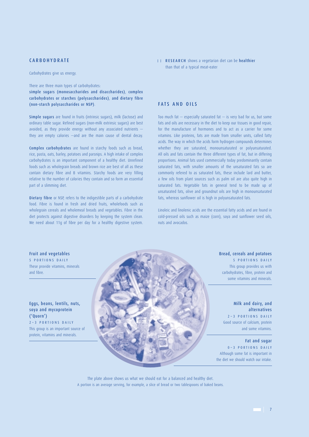# **CARBOHYDRATE**

Carbohydrates give us energy.

There are three main types of carbohydrates:

simple sugars (monosaccharides and disaccharides), complex carbohydrates or starches (polysaccharides), and dietary fibre (non–starch polysaccharides or NSP).

Simple sugars are found in fruits (intrinsic sugars), milk (lactose) and ordinary table sugar. Refined sugars (non–milk extrinsic sugars) are best avoided, as they provide energy without any associated nutrients  $$ they are empty calories —and are the main cause of dental decay.

Complex carbohydrates are found in starchy foods such as bread, rice, pasta, oats, barley, potatoes and parsnips. A high intake of complex carbohydrates is an important component of a healthy diet. Unrefined foods such as wholegrain breads and brown rice are best of all as these contain dietary fibre and B vitamins. Starchy foods are very filling relative to the number of calories they contain and so form an essential part of a slimming diet.

Dietary fibre or NSP, refers to the indigestible parts of a carbohydrate food. Fibre is found in fresh and dried fruits, wholefoods such as wholegrain cereals and wholemeal breads and vegetables. Fibre in the diet protects against digestive disorders by keeping the system clean. We need about 11g of fibre per day for a healthy digestive system.

**II RESEARCH** shows a vegetarian diet can be healthier than that of a typical meat–eater

### FATS AND OILS

Too much fat  $-$  especially saturated fat  $-$  is very bad for us, but some fats and oils are necessary in the diet to keep our tissues in good repair, for the manufacture of hormones and to act as a carrier for some vitamins. Like proteins, fats are made from smaller units, called fatty acids. The way in which the acids form hydrogen compounds determines whether they are saturated, monounsaturated or polyunsaturated. All oils and fats contain the three different types of fat, but in differing proportions. Animal fats used commercially today predominantly contain saturated fats, with smaller amounts of the unsaturated fats so are commonly refered to as saturated fats, these include lard and butter, a few oils from plant sources such as palm oil are also quite high in saturated fats. Vegetable fats in general tend to be made up of unsaturated fats, olive and groundnut oils are high in monounsaturated fats, whereas sunflower oil is high in polyunsaturated fats.

Linoleic and linolenic acids are the essential fatty acids and are found in cold–pressed oils such as maize (corn), soya and sunflower seed oils, nuts and avocados.

Fruit and vegetables 5 PORTIONS DAILY These provide vitamins, minerals and fibre.

Eggs, beans, lentils, nuts, soya and mycoprotein ('Quorn')

2~3 PORTIONS DAILY This group is an important source of protein, vitamins and minerals.

Milk and dairy, and

Bread, cereals and potatoes 5 PORTIONS DAILY This group provides us with carbohydrates, fibre, protein and some vitamins and minerals.

alternatives 2~3 PORTIONS DAILY Good source of calcium, protein and some vitamins.

Fat and sugar 0~3 PORTIONS DAILY Although some fat is important in the diet we should watch our intake.

The plate above shows us what we should eat for a balanced and healthy diet. A portion is an average serving, for example, a slice of bread or two tablespoons of baked beans.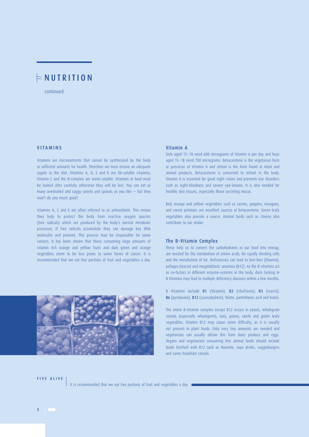# $\models$ NUTRITION

continued

# VITAMINS

Vitamins are micronutrients that cannot be synthesized by the body in sufficient amounts for health. Therefore we must ensure an adequate supply in the diet. Vitamins A, D, E and K are fat-soluble vitamins; Vitamin C and the B–complex are water–soluble. Vitamins in food must be looked after carefully otherwise they will be lost. You can eat as many overboiled and soggy carrots and sprouts as you like — but they won't do you much good!

Vitamins A, C and E are often referred to as antioxidants. This means they help to protect the body from reactive oxygen species (free radicals) which are produced by the body's normal metabolic processes. If free radicals accumulate they can damage key DNA molecules and proteins. This process may be responsible for some cancers. It has been shown that those consuming large amounts of vitamin rich orange and yellow fruits and dark green and orange vegetables seem to be less prone to some forms of cancer. It is recommended that we eat five portions of fruit and vegetables a day.



## Vitamin A

Girls aged 15~18 need 600 micrograms of Vitamin A per day and boys aged 15~18 need 700 micrograms. Betacarotene is the vegetarian form or precursor of Vitamin A and retinol is the form found in meat and animal products. Betacarotene is converted to retinol in the body. Vitamin A is essential for good night vision and prevents eye disorders such as night–blindness and severe eye–lesions. It is also needed for healthy skin tissues, especially those secreting mucus.

Red, orange and yellow vegetables such as carrots, peppers, mangoes, and sweet potatoes are excellent sources of betacarotene. Green leafy vegetables also provide a source. Animal foods such as cheese also contribute to our intake.

## The B–Vitamin Complex

These help us to convert the carbohydrates in our food into energy, are needed for the metabolism of amino acids, for rapidly dividing cells and the metabolism of fat. Deficiencies can lead to beri–beri (thiamin), pellagra (niacin) and megaloblastic anaemia (B12). As the B vitamins act as co–factors in different enzyme–systems in the body, diets lacking in B Vitamins may lead to multiple deficiency diseases within a few months.

B Vitamins include B1 (thiamin), B2 (riboflavin), B3 (niacin), B6 (pyridoxine), B12 (cyancobalmin), folate, pantothenic acid and biotin.

The entire B–Vitamin complex except B12 occurs in yeasts, wholegrain cereals (especially wheatgerm), nuts, pulses, seeds and green leafy vegetables. Vitamin B12 may cause some difficulty, as it is usually not present in plant foods. Only very tiny amounts are needed and vegetarians can usually obtain this from dairy produce and eggs. Vegans and vegetarians consuming few animal foods should include foods fortified with B12 such as Marmite, soya drinks, veggieburgers and some breakfast cereals.

FIVE ALIVE

It is recommended that we eat five portions of fruit and vegetables a day

8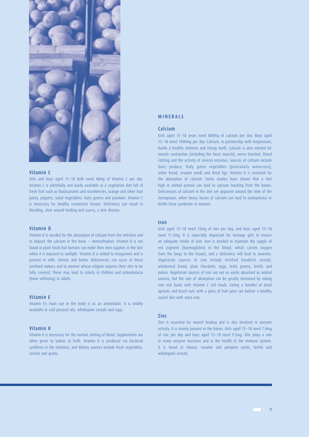

## Vitamin C

Girls and boys aged 15~18 both need 40mg of Vitamin C per day. Vitamin C is plentifully and easily available in a vegetarian diet full of fresh fruit such as blackcurrants and strawberries, orange and other fruit juices, peppers, salad vegetables, leafy greens and potatoes. Vitamin C is necessary for healthy connective tissues. Deficiency can result in bleeding, slow wound healing and scurvy, a skin disease.

### Vitamin D

Vitamin D is needed for the absorption of calcium from the intestine and to deposit the calcium in the bone — mineralisation. Vitamin D is not found in plant foods but humans can make their own supplies in the skin when it is exposed to sunlight. Vitamin D is added to margarines and is present in milk, cheese and butter. Deficiencies can occur in those confined indoors and to women whose religion requires their skin to be fully covered. These may lead to rickets in children and osteomalacia (bone softening) in adults.

### Vitamin E

Vitamin E's main use in the body is as an antioxidant. It is widely available in cold pressed oils, wholegrain cereals and eggs.

## Vitamin K

Vitamin K is necessary for the normal clotting of blood. Supplements are often given to babies at birth. Vitamin K is produced via bacterial synthesis in the intestine, and dietary sources include fresh vegetables, cereals and grains.

## MINERALS

### Calcium

Girls aged 15~18 years need 800mg of calcium per day. Boys aged 15~18 need 1000mg per day. Calcium, in partnership with magnesium, builds a healthy skeleton and strong teeth. Calcium is also needed for muscle contraction (including the heart muscle), nerve function, blood clotting and the activity of several enzymes. Sources of calcium include dairy produce, leafy green vegetables (particularly watercress), white bread, sesame seeds and dried figs. Vitamin D is essential for the absorption of calcium. Some studies have shown that a diet high in animal protein can lead to calcium leaching from the bones. Deficiencies of calcium in the diet are apparent around the time of the menopause, when heavy losses of calcium can lead to osteoporosis or brittle bone syndrome in women.

### Iron

Girls aged 15~18 need 15mg of iron per day, and boys aged 15~18 need 11.3mg. It is especially important for teenage girls to ensure an adequate intake of iron. Iron is needed to maintain the supply of red pigment (haemoglobin) in the blood, which carries oxygen from the lungs to the tissues, and a deficiency will lead to anaemia. Vegetarian sources of iron include fortified breakfast cereals, wholemeal bread, plain chocolate, eggs, leafy greens, lentils and pulses. Vegetarian sources of iron are not as easily absorbed as animal sources, but the rate of absorption can be greatly increased by eating iron rich foods with Vitamin C rich foods. Eating a handful of dried apricots and brazil nuts with a glass of fruit juice can bolster a healthy varied diet with extra iron.

### Zinc

Zinc is essential for wound healing and is also involved in enzyme activity. It is mainly present in the bones. Girls aged 15~18 need 7.0mg of zinc per day and boys aged 15~18 need 9.5mg. Zinc plays a role in many enzyme reactions and in the health of the immune system. It is found in cheese, sesame and pumpkin seeds, lentils and wholegrain cereals.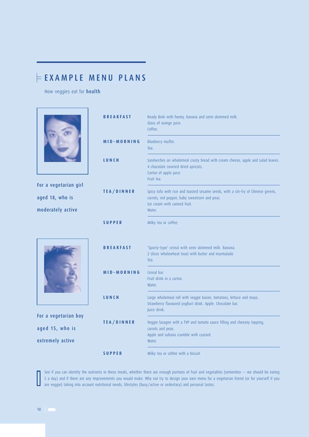# $\models$ EXAMPLE MENU PLANS

How veggies eat for health



See if you can identify the nutrients in these meals, whether there are enough portions of fruit and vegetables (remember — we should be eating 5 a day) and if there are any improvements you would make. Why not try to design your own menu for a vegetarian friend (or for yourself if you are veggie) taking into account nutritional needs, lifestyles (busy/active or sedentary) and personal tastes.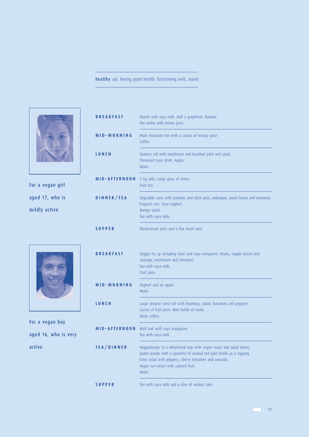# healthy adj. having good health; functioning well, sound



For a vegan girl aged 17, who is mildly active

| <b>BREAKFAST</b> | Muesli with soya milk. Half a grapefruit. Banana.<br>Hot water with lemon juice.                                                                                                                                                                       |
|------------------|--------------------------------------------------------------------------------------------------------------------------------------------------------------------------------------------------------------------------------------------------------|
| MID-MORNING      | Plain chocolate bar with a carton of orange juice.<br>Coffee.                                                                                                                                                                                          |
| LUNCH            | Granary roll with mushroom and hazelnut pâté and salad.<br>Flavoured soya drink. Apple.<br>Water.                                                                                                                                                      |
| MID-AFTERNOON    | 3 fig rolls. Large glass of water.<br>Fruit tea.                                                                                                                                                                                                       |
| DINNER/TEA       | Vegetable curry with potatoes and chick peas, aubergine, green beans and tomatoes.<br>Fragrant rice. Soya yoghurt.<br>Mango salad.<br>Tea with soya milk.                                                                                              |
| <b>SUPPER</b>    | Blackcurrant juice and a few brazil nuts.                                                                                                                                                                                                              |
| <b>BREAKFAST</b> | Veggie fry up including toast and soya margarine, beans, veggie bacon and<br>sausage, mushroom and tomatoes.<br>Tea with soya milk.<br>Fruit juice.                                                                                                    |
| MID-MORNING      | Yoghurt and an apple.<br>Water.                                                                                                                                                                                                                        |
| LUNCH            | Large sesame seed roll with houmous, salad, tomatoes and peppers.<br>Carton of fruit juice. Mini bottle of water.<br>Black coffee.                                                                                                                     |
| MID-AFTERNOON    | Malt loaf with soya margarine.<br>Tea with soya milk.                                                                                                                                                                                                  |
| TEA/DINNER       | Veggieburger in a wholemeal bap with vegan mayo and salad leaves.<br>Jacket potato with a spoonful of cooked red split lentils as a topping.<br>Extra salad with peppers, cherry tomatoes and avocado.<br>Vegan ice-cream with canned fruit.<br>Water. |
| <b>SUPPER</b>    | Tea with soya milk and a slice of walnut cake.                                                                                                                                                                                                         |

For a vegan boy aged 16, who is very active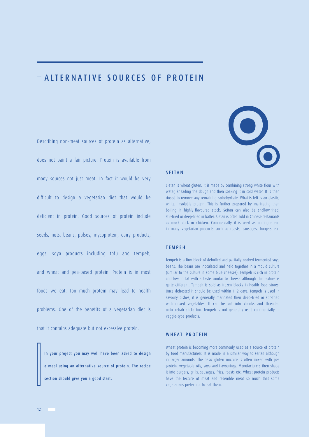# ALTERNATIVE SOURCES OF PROTEIN

Describing non–meat sources of protein as alternative, does not paint a fair picture. Protein is available from many sources not just meat. In fact it would be very difficult to design a vegetarian diet that would be deficient in protein. Good sources of protein include seeds, nuts, beans, pulses, mycoprotein, dairy products, eggs, soya products including tofu and tempeh, and wheat and pea–based protein. Protein is in most foods we eat. Too much protein may lead to health problems. One of the benefits of a vegetarian diet is that it contains adequate but not excessive protein.

In your project you may well have been asked to design a meal using an alternative source of protein. The recipe section should give you a good start.



### SEITAN

Sietan is wheat gluten. It is made by combining strong white flour with water, kneading the dough and then soaking it in cold water. It is then rinsed to remove any remaining carbohydrate. What is left is an elastic, white, insoluble protein. This is further prepared by marinating then boiling in highly–flavoured stock. Seitan can also be shallow–fried, stir–fried or deep–fried in batter. Sietan is often sold in Chinese restaurants as mock duck or chicken. Commercially it is used as an ingredient in many vegetarian products such as roasts, sausages, burgers etc.

# TEMPEH

Tempeh is a firm block of dehulled and partially cooked fermented soya beans. The beans are inoculated and held together in a mould culture (similar to the culture in some blue cheeses). Tempeh is rich in protein and low in fat with a taste similar to cheese although the texture is quite different. Tempeh is sold as frozen blocks in health food stores. Once defrosted it should be used within 1~2 days. Tempeh is used in savoury dishes, it is generally marinated then deep–fried or stir–fried with mixed vegetables. It can be cut into chunks and threaded onto kebab sticks too. Tempeh is not generally used commercially in veggie–type products.

# WHEAT PROTEIN

Wheat protein is becoming more commonly used as a source of protein by food manufacturers. It is made in a similar way to seitan although in larger amounts. The basic gluten mixture is often mixed with pea protein, vegetable oils, soya and flavourings. Manufacturers then shape it into burgers, grills, sausages, fries, roasts etc. Wheat protein products have the texture of meat and resemble meat so much that some vegetarians prefer not to eat them.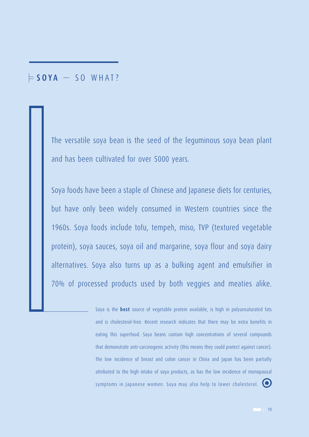# $\mathsf{\models}$  SOYA  $-$  SO WHAT?

The versatile soya bean is the seed of the leguminous soya bean plant and has been cultivated for over 5000 years.

Soya foods have been a staple of Chinese and Japanese diets for centuries, but have only been widely consumed in Western countries since the 1960s. Soya foods include tofu, tempeh, miso, TVP (textured vegetable protein), soya sauces, soya oil and margarine, soya flour and soya dairy alternatives. Soya also turns up as a bulking agent and emulsifier in 70% of processed products used by both veggies and meaties alike.

> Soya is the **best** source of vegetable protein available, is high in polyunsaturated fats and is cholesterol–free. Recent research indicates that there may be extra benefits in eating this superfood. Soya beans contain high concentrations of several compounds that demonstrate anti–carcinogenic activity (this means they could protect against cancer). The low incidence of breast and colon cancer in China and Japan has been partially attributed to the high intake of soya products, as has the low incidence of menopausal symptoms in Japanese women. Soya may also help to lower cholesterol.  $\bullet$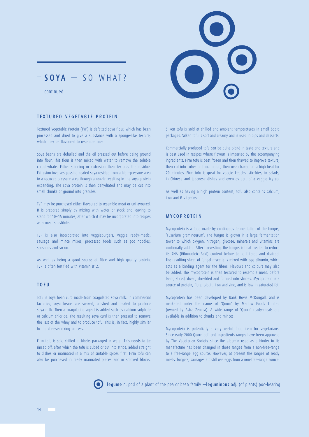

# $\models$  SOYA  $-$  SO WHAT?

## TEXTURED VEGETABLE PROTEIN

Textured Vegetable Protein (TVP) is defatted soya flour, which has been processed and dried to give a substance with a sponge–like texture, which may be flavoured to resemble meat.

Soya beans are dehulled and the oil pressed out before being ground into flour. This flour is then mixed with water to remove the soluble carbohydrate. Either spinning or extrusion then textures the residue. Extrusion involves passing heated soya residue from a high–pressure area to a reduced pressure area through a nozzle resulting in the soya protein expanding. The soya protein is then dehydrated and may be cut into small chunks or ground into granules.

TVP may be purchased either flavoured to resemble meat or unflavoured. It is prepared simply by mixing with water or stock and leaving to stand for 10~15 minutes, after which it may be incorporated into recipes as a meat substitute.

TVP is also incorporated into veggieburgers, veggie ready–meals, sausage and mince mixes, processed foods such as pot noodles, sausages and so on.

As well as being a good source of fibre and high quality protein, TVP is often fortified with Vitamin B12.

## TOFU

Tofu is soya bean curd made from coagulated soya milk. In commercial factories, soya beans are soaked, crushed and heated to produce soya milk. Then a coagulating agent is added such as calcium sulphate or calcium chloride. The resulting soya curd is then pressed to remove the last of the whey and to produce tofu. This is, in fact, highly similar to the cheesemaking process.

Firm tofu is sold chilled in blocks packaged in water. This needs to be rinsed off, after which the tofu is cubed or cut into strips, added straight to dishes or marinated in a mix of suitable spices first. Firm tofu can also be purchased in ready marinated pieces and in smoked blocks.

Silken tofu is sold at chilled and ambient temperatures in small board packages. Silken tofu is soft and creamy and is used in dips and desserts.

Commercially produced tofu can be quite bland in taste and texture and is best used in recipes where flavour is imparted by the accompanying ingredients. Firm tofu is best frozen and then thawed to improve texture, then cut into cubes and marinated, then oven baked on a high heat for 20 minutes. Firm tofu is great for veggie kebabs, stir–fries, in salads, in Chinese and Japanese dishes and even as part of a veggie fry–up.

As well as having a high protein content, tofu also contains calcium, iron and B vitamins.

## **MYCOPROTEIN**

Mycoprotein is a food made by continuous fermentation of the fungus, 'Fusarium gramineurum'. The fungus is grown in a large fermentation tower to which oxygen, nitrogen, glucose, minerals and vitamins are continually added. After harvesting, the fungus is heat treated to reduce its RNA (Ribonucleic Acid) content before being filtered and drained. The resulting sheet of fungal mycelia is mixed with egg albumin, which acts as a binding agent for the fibres. Flavours and colours may also be added. The mycoprotein is then textured to resemble meat, before being sliced, diced, shredded and formed into shapes. Mycoprotein is a source of protein, fibre, biotin, iron and zinc, and is low in saturated fat.

Mycoprotein has been developed by Rank Hovis McDougall, and is marketed under the name of 'Quorn' by Marlow Foods Limited (owned by Astra Zeneca). A wide range of 'Quorn' ready–meals are available in addition to chunks and minces.

Mycoprotein is potentially a very useful food item for vegetarians. Since early 2000 Quorn deli and ingredients ranges have been approved by The Vegetarian Society since the albumin used as a binder in its manafacture has been changed in those ranges from a non–free–range to a free–range egg source. However, at present the ranges of ready meals, burgers, sausages etc still use eggs from a non–free–range source.



legume n. pod of a plant of the pea or bean family —leguminous adj. (of plants) pod–bearing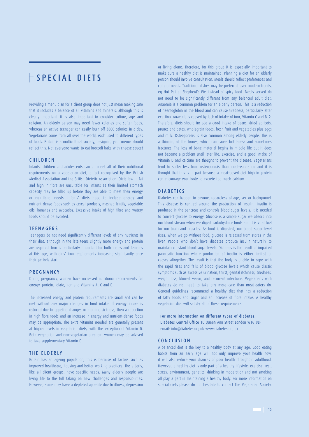# $\models$  SPECIAL DIETS

Providing a menu plan for a client group does not just mean making sure that it includes a balance of all vitamins and minerals, although this is clearly important. It is also important to consider culture, age and religion. An elderly person may need fewer calories and softer foods, whereas an active teenager can easily burn off 3000 calories in a day. Vegetarians come from all over the world, each used to different types of foods. Britain is a multicultural society, designing your menus should reflect this. Not everyone wants to eat broccoli bake with cheese sauce!

### **CHILDREN**

Infants, children and adolescents can all meet all of their nutritional requirements on a vegetarian diet, a fact recognised by the British Medical Association and the British Dietetic Association. Diets low in fat and high in fibre are unsuitable for infants as their limited stomach capacity may be filled up before they are able to meet their energy or nutritional needs. Infants' diets need to include energy and nutrient–dense foods such as cereal products, mashed lentils, vegetable oils, bananas and avocados. Excessive intake of high fibre and watery foods should be avoided.

### **TEENAGERS**

Teenagers do not need significantly different levels of any nutrients in their diet, although in the late teens slightly more energy and protein are required. Iron is particularly important for both males and females at this age, with girls' iron requirements increasing significantly once their periods start.

### PREGNANCY

During pregnancy, women have increased nutritional requirements for energy, protein, folate, iron and Vitamins A, C and D.

The increased energy and protein requirements are small and can be met without any major changes in food intake. If energy intake is reduced due to appetite changes or morning sickness, then a reduction in high fibre foods and an increase in energy and nutrient–dense foods may be appropriate. The extra vitamins needed are generally present at higher levels in vegetarian diets, with the exception of Vitamin D. Both vegetarian and non–vegetarian pregnant women may be advised to take supplementary Vitamin D.

## THE ELDERLY

Britain has an ageing population, this is because of factors such as improved healthcare, housing and better working practices. The elderly, like all client groups, have specific needs. Many elderly people are living life to the full taking on new challenges and responsibilities. However, some may have a depleted appetite due to illness, depression

or living alone. Therefore, for this group it is especially important to make sure a healthy diet is maintained. Planning a diet for an elderly person should involve consultation. Meals should reflect preferences and cultural needs. Traditional dishes may be preferred over modern trends, eg Hot Pot or Shepherd's Pie instead of spicy food. Meals served do not need to be significantly different from any balanced adult diet. Anaemia is a common problem for an elderly person. This is a reduction of haemoglobin in the blood and can cause tiredness, particularly after exertion. Anaemia is caused by lack of intake of iron, Vitamin C and B12. Therefore, diets should include a good intake of beans, dried apricots, prunes and dates, wholegrain foods, fresh fruit and vegetables plus eggs and milk. Osteoporosis is also common among elderly people. This is a thinning of the bones, which can cause brittleness and sometimes fractures. The loss of bone material begins in middle life but it does not become a problem until later life. Exercise, and a good intake of Vitamin D and calcium are thought to prevent the disease. Vegetarians tend to suffer less from osteoporosis than meat–eaters do and it is thought that this is in part because a meat–based diet high in protein can encourage your body to excrete too much calcium.

### DIABETICS

Diabetes can happen to anyone, regardless of age, sex or background. This disease is centred around the production of insulin. Insulin is produced in the pancreas and controls blood sugar levels. It is needed to convert glucose to energy. Glucose is a simple sugar we absorb into our blood stream when we digest carbohydrate foods and it is vital fuel for our brain and muscles. As food is digested, our blood sugar level rises. When we go without food, glucose is released from stores in the liver. People who don't have diabetes produce insulin naturally to maintain constant blood sugar levels. Diabetes is the result of impaired pancreatic function where production of insulin is either limited or ceases altogether. The result is that the body is unable to cope with the rapid rises and falls of blood glucose levels which cause classic symptoms such as excessive urination, thirst, genital itchiness, tiredness, weight loss, blurred vision, and recurrent infections. Vegetarians with diabetes do not need to take any more care than meat–eaters do. General guidelines recommend a healthy diet that has a reduction of fatty foods and sugar and an increase of fibre intake. A healthy vegetarian diet will satisfy all of these requirements.

### For more information on different types of diabetes:

Diabetes Central Office 10 Queen Ann Street London W1G 9LH email: info@diabetes.org.uk www.diabetes.org.uk

### CONCLUSION

A balanced diet is the key to a healthy body at any age. Good eating habits from an early age will not only improve your health now, it will also reduce your chances of poor health throughout adulthood. However, a healthy diet is only part of a healthy lifestyle: exercise, rest, stress, environment, genetics, drinking in moderation and not smoking all play a part in maintaining a healthy body. For more information on special diets please do not hesitate to contact The Vegetarian Society.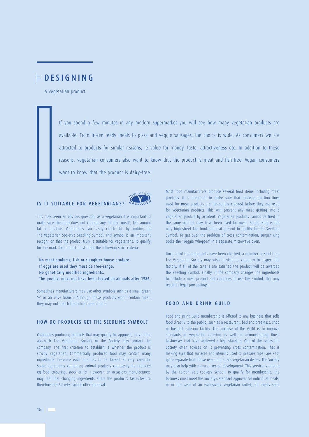# DESIGNING

a vegetarian product

If you spend a few minutes in any modern supermarket you will see how many vegetarian products are available. From frozen ready meals to pizza and veggie sausages, the choice is wide. As consumers we are attracted to products for similar reasons, ie value for money, taste, attractiveness etc. In addition to these reasons, vegetarian consumers also want to know that the product is meat and fish–free. Vegan consumers want to know that the product is dairy–free.

### IS IT SUITABLE FOR VEGETARIANS? **<sup>A</sup> <sup>P</sup> <sup>P</sup> <sup>R</sup>** $ROV$ <sub>**E**O</sub>

**V**

**<sup>e</sup> <sup>g</sup> <sup>e</sup> <sup>t</sup> <sup>a</sup> <sup>r</sup> <sup>i</sup> <sup>a</sup> <sup>n</sup> <sup>S</sup> <sup>o</sup> <sup>c</sup> <sup>i</sup> <sup>e</sup> <sup>t</sup> <sup>y</sup>**



No meat products, fish or slaughter house produce. If eggs are used they must be free–range. No genetically modified ingredients. The product must not have been tested on animals after 1986.

Sometimes manufacturers may use other symbols such as a small green 'v' or an olive branch. Although these products won't contain meat, they may not match the other three criteria.

# HOW DO PRODUCTS GET THE SEEDLING SYMBOL?

Companies producing products that may qualify for approval, may either approach The Vegetarian Society or the Society may contact the company. The first criterion to establish is whether the product is strictly vegetarian. Commercially produced food may contain many ingredients therefore each one has to be looked at very carefully. Some ingredients containing animal products can easily be replaced eg food colouring, stock or fat. However, on occasions manufacturers may feel that changing ingredients alters the product's taste/texture therefore the Society cannot offer approval.

Most food manufacturers produce several food items including meat products. It is important to make sure that those production lines used for meat products are thoroughly cleaned before they are used for vegetarian products. This will prevent any meat getting into a vegetarian product by accident. Vegetarian products cannot be fried in the same oil that may have been used for meat. Burger King is the only high street fast food outlet at present to qualify for the Seedling Symbol. To get over the problem of cross contamination, Burger King cooks the 'Veggie Whopper' in a separate microwave oven.

Once all of the ingredients have been checked, a member of staff from The Vegetarian Society may wish to visit the company to inspect the factory. If all of the criteria are satisfied the product will be awarded the Seedling Symbol. Finally, if the company changes the ingredients to include a meat product and continues to use the symbol, this may result in legal proceedings.

# FOOD AND DRINK GUILD

Food and Drink Guild membership is offered to any business that sells food directly to the public, such as a restaurant, bed and breakfast, shop or hospital catering facility. The purpose of the Guild is to improve standards of vegetarian catering as well as acknowledging those businesses that have achieved a high standard. One of the issues the Society often advises on is preventing cross contamination. That is making sure that surfaces and utensils used to prepare meat are kept quite separate from those used to prepare vegetarian dishes. The Society may also help with menu or recipe development. This service is offered by the Cordon Vert Cookery School. To qualify for membership, the business must meet the Society's standard approval for individual meals, or in the case of an exclusively vegetarian outlet, all meals sold.

16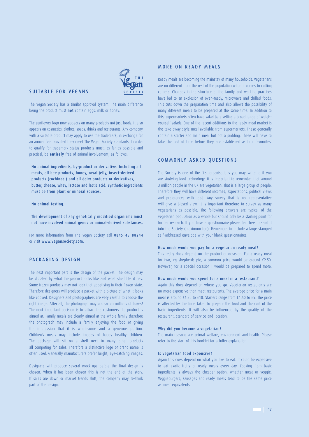

## SUITABLE FOR VEGANS

The Vegan Society has a similar approval system. The main difference being the product must **not** contain eggs, milk or honey.

The sunflower logo now appears on many products not just foods. It also appears on cosmetics, clothes, soaps, drinks and restaurants. Any company with a suitable product may apply to use the trademark, in exchange for an annual fee, provided they meet The Vegan Society standards. In order to qualify for trademark status products must, as far as possible and practical, be **entirely** free of animal involvement, as follows:

No animal ingredients, by–product or derivative. Including all meats, all bee products, honey, royal jelly, insect–derived products (cochineal) and all dairy products or derivatives, butter, cheese, whey, lactose and lactic acid. Synthetic ingredients must be from plant or mineral sources.

### No animal testing.

The development of any genetically modified organisms must not have involved animal genes or animal–derived substances.

For more information from The Vegan Society call 0845 45 88244 or visit www.vegansociety.com.

# PACKAGING DESIGN

The next important part is the design of the packet. The design may be dictated by what the product looks like and what shelf life it has. Some frozen products may not look that appetising in their frozen state. Therefore designers will produce a packet with a picture of what it looks like cooked. Designers and photographers are very careful to choose the right image. After all, the photograph may appear on millions of boxes! The next important decision is to attract the customers the product is aimed at. Family meals are clearly aimed at the whole family therefore the photograph may include a family enjoying the food or giving the impression that it is wholesome and a generous portion. Children's meals may include images of happy healthy children. The package will sit on a shelf next to many other products all competing for sales. Therefore a distinctive logo or brand name is often used. Generally manufacturers prefer bright, eye–catching images.

Designers will produce several mock–ups before the final design is chosen. When it has been chosen this is not the end of the story. If sales are down or market trends shift, the company may re–think part of the design.

# MORE ON READY MEALS

Ready meals are becoming the mainstay of many households. Vegetarians are no different from the rest of the population when it comes to cutting corners. Changes in the structure of the family and working practices have led to an explosion of oven–ready, microwave and chilled foods. This cuts down the preparation time and also allows the possibility of many different meals to be prepared at the same time. In addition to this, supermarkets often have salad bars selling a broad range of weigh– yourself salads. One of the recent additions to the ready meal market is the take away–style meal available from supermarkets. These generally contain a starter and main meal but not a pudding. These will have to take the test of time before they are established as firm favourites.

### COMMONLY ASKED QUESTIONS

The Society is one of the first organisations you may write to if you are studying food technology. It is important to remember that around 3 million people in the UK are vegetarian. That is a large group of people. Therefore they will have different incomes, expectations, political views and preferences with food. Any survey that is not representative will give a biased view. It is important therefore to survey as many vegetarians as possible. The following answers are typical of the vegetarian population as a whole but should only be a starting point for further research. If you have a questionnaire please feel free to send it into the Society (maximum ten). Remember to include a large stamped self–addressed envelope with your blank questionnaires.

### How much would you pay for a vegetarian ready meal?

This really does depend on the product or occasion. For a ready meal for two, eg shepherds pie, a common price would be around £2.50. However, for a special occasion I would be prepared to spend more.

### How much would you spend for a meal in a restaurant?

Again this does depend on where you go. Vegetarian restaurants are no more expensive than meat restaurants. The average price for a main meal is around £6.50 to £10. Starters range from £1.50 to £5. The price is affected by the time taken to prepare the food and the cost of the basic ingredients. It will also be influenced by the quality of the restaurant, standard of service and location.

### Why did you become a vegetarian?

The main reasons are animal welfare, environment and health. Please refer to the start of this booklet for a fuller explanation.

### Is vegetarian food expensive?

Again this does depend on what you like to eat. It could be expensive to eat exotic fruits or ready meals every day. Cooking from basic ingredients is always the cheaper option, whether meat or veggie. Veggieburgers, sausages and ready meals tend to be the same price as meat equivalents.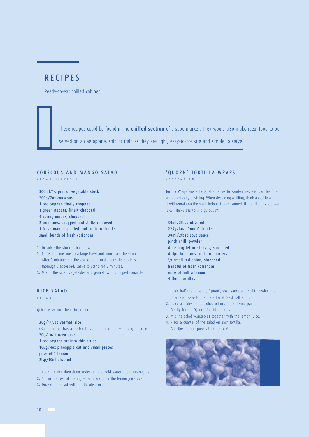# $F$ RECIPES

Ready–to–eat chilled cabinet

These recipes could be found in the **chilled section** of a supermarket. They would also make ideal food to be

served on an aeroplane, ship or train as they are light, easy–to–prepare and simple to serve.

## COUSCOUS AND MANGO SALAD

VEGAN SERVES 4

300ml/1/2 pint of vegetable stock 200g/7oz couscous 1 red pepper, finely chopped 1 green pepper, finely chopped 4 spring onions, chopped 2 tomatoes, chopped and stalks removed 1 fresh mango, peeled and cut into chunks small bunch of fresh coriander

1. Dissolve the stock in boiling water.

- 2. Place the couscous in a large bowl and pour over the stock. After 5 minutes stir the couscous to make sure the stock is thoroughly absorbed. Leave to stand for 5 minutes.
- 3. Mix in the salad vegetables and garnish with chopped coriander.

# RICE SALAD

VEGAN

Quick, easy and cheap to produce.

30g/11/2oz Basmati rice (Basmati rice has a better flavour than ordinary long grain rice) 20g/1oz frozen peas 1 red pepper cut into thin strips 100g/4oz pineapple cut into small pieces juice of 1 lemon 2tsp/10ml olive oil

1. Cook the rice then drain under running cold water. Drain thoroughly. 2. Stir in the rest of the ingredients and pour the lemon juice over.

3. Drizzle the salad with a little olive oil.

# 'QUORN' TORTILLA WRAPS

VEGETARIAN

Tortilla Wraps are a tasty alternative to sandwiches and can be filled with practically anything. When designing a filling, think about how long it will remain on the shelf before it is consumed. If the filling is too wet it can make the tortilla go soggy!

30ml/2tbsp olive oil 225g/8oz 'Quorn' chunks 30ml/2tbsp soya sauce pinch chilli powder 4 iceberg lettuce leaves, shredded 4 ripe tomatoes cut into quarters 1/2 small red onion, shredded handful of fresh coriander juice of half a lemon 4 flour tortillas

- 1. Place half the olive oil, 'Quorn', soya sauce and chilli powder in a bowl and leave to marinate for at least half an hour.
- 2. Place a tablespoon of olive oil in a large frying pan. Gently fry the 'Quorn' for 10 minutes.
- 3. Mix the salad vegetables together with the lemon juice.
- 4. Place a quarter of the salad on each tortilla. Add the 'Quorn' pieces then roll up!



18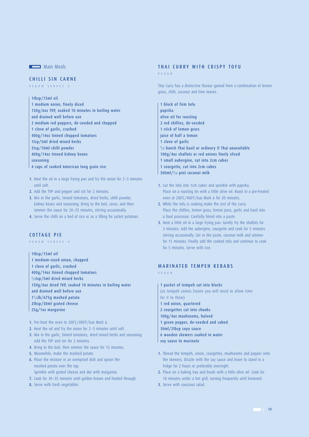**Main Meals** 

# CHILLI SIN CARNE

VEGAN SERVES 4

- 1tbsp/15ml oil 1 medium onion, finely diced 150g/6oz TVP, soaked 10 minutes in boiling water and drained well before use 2 medium red peppers, de–seeded and chopped 1 clove of garlic, crushed 400g/14oz tinned chopped tomatoes 1tsp/5ml dried mixed herbs 2tsp/10ml chilli powder 400g/14oz tinned kidney beans seasoning 4 cups of cooked American long grain rice
- 1. Heat the oil in a large frying pan and fry the onion for  $2-3$  minutes until soft.
- 2. Add the TVP and pepper and stir for 2 minutes.
- 3. Mix in the garlic, tinned tomatoes, dried herbs, chilli powder, kidney beans and seasoning. Bring to the boil, cover, and then simmer the sauce for 20~25 minutes, stirring occasionally.
- 4. Serve the chilli on a bed of rice or as a filling for jacket potatoes.

## COTTAGE PIE

VEGAN SERVES 4

1tbsp/15ml oil 1 medium–sized onion, chopped 1 clove of garlic, crushed 400g/14oz tinned chopped tomatoes 1/2tsp/5ml dried mixed herbs 150g/6oz dried TVP, soaked 10 minutes in boiling water and drained well before use 11/2lb/675g mashed potato 2tbsp/30ml grated cheese 25g/1oz margarine

- 1. Pre–heat the oven to 200˚C/400˚F/Gas Mark 6.
- 2. Heat the oil and fry the onion for 2~3 minutes until soft.
- 3. Mix in the garlic, tinned tomatoes, dried mixed herbs and seasoning. Add the TVP and stir for 2 minutes.
- 4. Bring to the boil, then simmer the sauce for 15 minutes.
- 5. Meanwhile, make the mashed potato.
- 6. Place the mixture in an ovenproof dish and spoon the mashed potato over the top. Sprinkle with grated cheese and dot with margarine.
- 7. Cook for 30~35 minutes until golden brown and heated through.
- 8. Serve with fresh vegetables.

### THAI CURRY WITH CRISPY TOFU

VEGAN

Thai Curry has a distinctive flavour gained from a combination of lemon grass, chilli, coconut and lime leaves.

- 1 block of firm tofu paprika olive oil for roasting 2 red chillies, de–seeded 1 stick of lemon grass juice of half a lemon 1 clove of garlic 1/2 bunch Thai basil or ordinary if Thai unavailable 100g/4oz shallots or red onions finely sliced 1 small aubergine, cut into 2cm cubes 1 courgette, cut into 2cm cubes 300ml/1/2 pint coconut milk
- 1. Cut the tofu into 1cm cubes and sprinkle with paprika. Place on a roasting tin with a little olive oil. Roast in a pre–heated oven at 200˚C/400˚F/Gas Mark 6 for 20 minutes.
- 2. While the tofu is cooking make the rest of the curry. Place the chillies, lemon grass, lemon juice, garlic and basil into a food processor. Carefully blend into a paste.
- 3. Heat a little oil in a large frying pan. Gently fry the shallots for 3 minutes. Add the aubergine, courgette and cook for 5 minutes stirring occasionally. Stir in the paste, coconut milk and simmer for 15 minutes. Finally add the cooked tofu and continue to cook for 5 minutes. Serve with rice.

# MARINATED TEMPEH KEBABS

VEGAN

- 1 packet of tempeh cut into blocks (as tempeh comes frozen you will need to allow time for it to thaw) 1 red onion, quartered 2 courgettes cut into chunks 100g/4oz mushrooms, halved 1 green pepper, de–seeded and cubed 30ml/2tbsp soya sauce 6 wooden skewers soaked in water
- soy sauce to marinate
- 1. Thread the tempeh, onion, courgettes, mushrooms and pepper onto the skewers. Drizzle with the soy sauce and leave to stand in a fridge for 2 hours or preferably overnight.
- 2. Place on a baking tray and brush with a little olive oil. Cook for 10 minutes under a hot grill, turning frequently until browned.
- 3. Serve with couscous salad.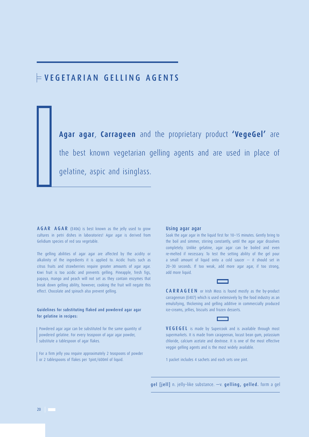# VEGETARIAN GELLING AGENTS

**Agar agar**, **Carrageen** and the proprietary product **'VegeGel'** are the best known vegetarian gelling agents and are used in place of gelatine, aspic and isinglass.

AGAR AGAR (E406) is best known as the jelly used to grow cultures in petri dishes in laboratories! Agar agar is derived from Gelidium species of red sea vegetable.

The gelling abilities of agar agar are affected by the acidity or alkalinity of the ingredients it is applied to. Acidic fruits such as citrus fruits and strawberries require greater amounts of agar agar. Kiwi fruit is too acidic and prevents gelling. Pineapple, fresh figs, papaya, mango and peach will not set as they contain enzymes that break down gelling ability, however, cooking the fruit will negate this effect. Chocolate and spinach also prevent gelling.

## Guidelines for substituting flaked and powdered agar agar for gelatine in recipes:

Powdered agar agar can be substituted for the same quantity of powdered gelatine. For every teaspoon of agar agar powder, substitute a tablespoon of agar flakes.

For a firm jelly you require approximately 2 teaspoons of powder or 2 tablespoons of flakes per 1pint/600ml of liquid.

### Using agar agar

Soak the agar agar in the liquid first for 10~15 minutes. Gently bring to the boil and simmer, stirring constantly, until the agar agar dissolves completely. Unlike gelatine, agar agar can be boiled and even re–melted if necessary. To test the setting ability of the gel pour a small amount of liquid onto a cold saucer  $-$  it should set in 20~30 seconds. If too weak, add more agar agar, if too strong, add more liquid.

CARRAGEEN or Irish Moss is found mostly as the by–product carrageenan (E407) which is used extensively by the food industry as an emulsifying, thickening and gelling additive in commercially produced ice–creams, jellies, biscuits and frozen desserts.

VEGEGEL is made by Supercook and is available through most supermarkets. It is made from carageenan, locust bean gum, potassium chloride, calcium acetate and dextrose. It is one of the most effective veggie gelling agents and is the most widely available.

1 packet includes 4 sachets and each sets one pint.

gel [jell] n. jelly–like substance. —v. gelling, gelled. form a gel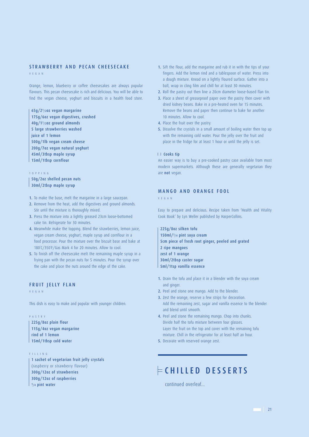## STRAWBERRY AND PECAN CHEESECAKE

VEGAN

Orange, lemon, blueberry or coffee cheesecakes are always popular flavours. This pecan cheesecake is rich and delicious. You will be able to find the vegan cheese, yoghurt and biscuits in a health food store.

65g/21/2oz vegan margarine 175g/6oz vegan digestives, crushed 40g/11/2oz ground almonds 5 large strawberries washed juice of 1 lemon 500g/1lb vegan cream cheese 200g/7oz vegan natural yoghurt 45ml/3tbsp maple syrup 15ml/1tbsp cornflour

### TOPPING

50g/2oz shelled pecan nuts 30ml/2tbsp maple syrup

1. To make the base, melt the margarine in a large saucepan.

- 2. Remove from the heat, add the digestives and ground almonds. Stir until the mixture is thoroughly mixed.
- 3. Press the mixture into a lightly greased 23cm loose–bottomed cake tin. Refrigerate for 30 minutes.
- 4. Meanwhile make the topping. Blend the strawberries, lemon juice, vegan cream cheese, yoghurt, maple syrup and cornflour in a food processor. Pour the mixture over the biscuit base and bake at 180˚C/350˚F/Gas Mark 4 for 20 minutes. Allow to cool.
- 5. To finish off the cheesecake melt the remaining maple syrup in a frying pan with the pecan nuts for 5 minutes. Pour the syrup over the cake and place the nuts around the edge of the cake.

# FRUIT JELLY FLAN

VEGAN

This dish is easy to make and popular with younger children.

## PASTRY

225g/8oz plain flour 115g/4oz vegan margarine rind of 1 lemon 15ml/1tbsp cold water

### FILLING

1 sachet of vegetarian fruit jelly crystals (raspberry or strawberry flavour) 300g/12oz of strawberries 300g/12oz of raspberries 1/4 pint water

- 1. Sift the flour, add the margarine and rub it in with the tips of your fingers. Add the lemon rind and a tablespoon of water. Press into a dough mixture. Knead on a lightly floured surface. Gather into a ball, wrap in cling film and chill for at least 30 minutes.
- 2. Roll the pastry out then line a 20cm diameter loose-based flan tin.
- 3. Place a sheet of greaseproof paper over the pastry then cover with dried kidney beans. Bake in a pre–heated oven for 15 minutes. Remove the beans and paper then continue to bake for another 10 minutes. Allow to cool.
- 4. Place the fruit over the pastry.
- 5. Dissolve the crystals in a small amount of boiling water then top up with the remaining cold water. Pour the jelly over the fruit and place in the fridge for at least 1 hour or until the jelly is set.

### I I Cooks tip

An easier way is to buy a pre–cooked pastry case available from most modern supermarkets. Although these are generally vegetarian they are not vegan.

# MANGO AND ORANGE FOOL

VEGAN

Easy to prepare and delicious. Recipe taken from 'Health and Vitality Cook Book' by Lyn Weller published by HarperCollins.

225g/8oz silken tofu 150ml/1/4 pint soya cream 5cm piece of fresh root ginger, peeled and grated 2 ripe mangoes zest of 1 orange 30ml/2tbsp caster sugar 5ml/1tsp vanilla essence

- 1. Drain the tofu and place it in a blender with the soya cream and ginger.
- 2. Peel and stone one mango. Add to the blender.
- 3. Zest the orange, reserve a few strips for decoration. Add the remaining zest, sugar and vanilla essence to the blender and blend until smooth.
- 4. Peel and stone the remaining mango. Chop into chunks. Divide half the tofu mixture between four glasses. Layer the fruit on the top and cover with the remaining tofu mixture. Chill in the refrigerator for at least half an hour.
- 5. Decorate with reserved orange zest.

# $\models$  CHILLED DESSERTS

continued overleaf...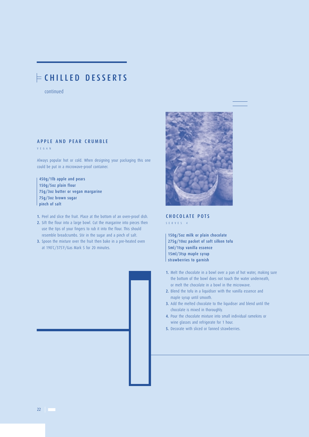# CHILLED DESSERTS

continued

# APPLE AND PEAR CRUMBLE

VEGAN

Always popular hot or cold. When designing your packaging this one could be put in a microwave–proof container.

450g/1lb apple and pears 150g/5oz plain flour 75g/3oz butter or vegan margarine 75g/3oz brown sugar pinch of salt

- 1. Peel and slice the fruit. Place at the bottom of an oven–proof dish.
- 2. Sift the flour into a large bowl. Cut the margarine into pieces then use the tips of your fingers to rub it into the flour. This should resemble breadcrumbs. Stir in the sugar and a pinch of salt.
- 3. Spoon the mixture over the fruit then bake in a pre-heated oven at 190˚C/375˚F/Gas Mark 5 for 20 minutes.





# CHOCOLATE POTS

SERVES 4

150g/5oz milk or plain chocolate 275g/10oz packet of soft silken tofu 5ml/1tsp vanilla essence 15ml/3tsp maple syrup strawberries to garnish

- 1. Melt the chocolate in a bowl over a pan of hot water, making sure the bottom of the bowl does not touch the water underneath, or melt the chocolate in a bowl in the microwave.
- 2. Blend the tofu in a liquidiser with the vanilla essence and maple syrup until smooth.
- 3. Add the melted chocolate to the liquidiser and blend until the chocolate is mixed in thoroughly.
- 4. Pour the chocolate mixture into small individual ramekins or wine glasses and refrigerate for 1 hour.
- 5. Decorate with sliced or fanned strawberries.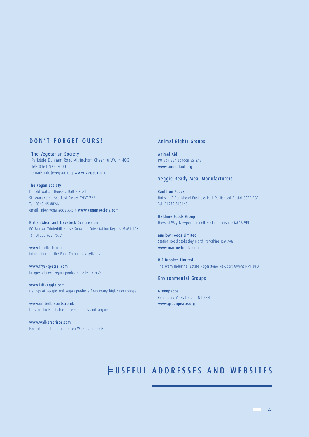# DON'T FORGET OURS!

The Vegetarian Society Parkdale Dunham Road Altrincham Cheshire WA14 4QG Tel: 0161 925 2000  $\mid$  email: info@vegsoc.org www.vegsoc.org

The Vegan Society Donald Watson House 7 Battle Road St Leonards–on–Sea East Sussex TN37 7AA Tel: 0845 45 88244 email: info@vegansociety.com www.vegansociety.com

British Meat and Livestock Commission PO Box 44 Winterhill House Snowdon Drive Milton Keynes MK61 1AX Tel: 01908 677 7577

www.foodtech.com Information on the Food Technology syllabus

www.frys–special.com Images of new vegan products made by Fry's

www.isitveggie.com Listings of veggie and vegan products from many high street shops

www.unitedbiscuits.co.uk Lists products suitable for vegetarians and vegans

www.walkerscrisps.com For nutritional information on Walkers products

# Animal Rights Groups

Animal Aid PO Box 254 London E5 8AB www.animalaid.org

# Veggie Ready Meal Manufacturers

Cauldron Foods Units 1~2 Portishead Business Park Portishead Bristol BS20 9BF Tel: 01275 818448

Haldane Foods Group Howard Way Newport Pagnell Buckinghamshire MK16 9PT

Marlow Foods Limited Station Road Stokesley North Yorkshire TS9 7AB www.marlowfoods.com

R F Brookes Limited The Wern Industrial Estate Rogerstone Newport Gwent NP1 9FQ

## Environmental Groups

Greenpeace Canonbury Villas London N1 2PN www.greenpeace.org

# USEFUL ADDRESSES AND WEBSITES

 $\overline{23}$